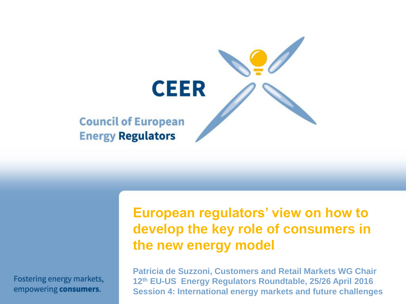

Fostering energy markets, empowering consumers.

#### **European regulators' view on how to develop the key role of consumers in the new energy model**

**Patricia de Suzzoni, Customers and Retail Markets WG Chair 12th EU-US Energy Regulators Roundtable, 25/26 April 2016 Session 4: International energy markets and future challenges**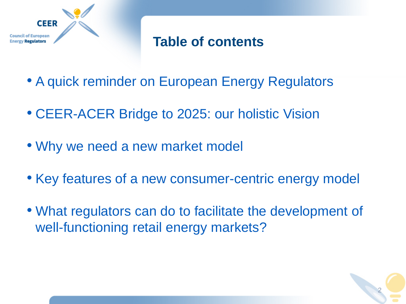

#### **Table of contents**

- A quick reminder on European Energy Regulators
- CEER-ACER Bridge to 2025: our holistic Vision
- Why we need a new market model
- Key features of a new consumer-centric energy model
- What regulators can do to facilitate the development of well-functioning retail energy markets?

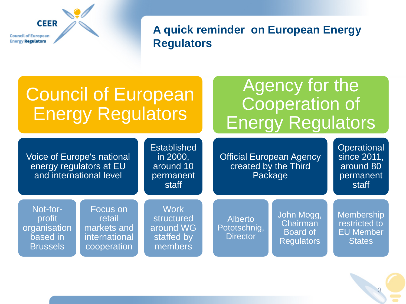**CEER Council of European Energy Regulators** 

**A quick reminder on European Energy Regulators**

| <b>Council of European</b><br><b>Energy Regulators</b>                                  |                                                                   |                                                                   | Agency for the<br>Cooperation of<br><b>Energy Regulators</b>       |                                                                |                                                                         |
|-----------------------------------------------------------------------------------------|-------------------------------------------------------------------|-------------------------------------------------------------------|--------------------------------------------------------------------|----------------------------------------------------------------|-------------------------------------------------------------------------|
| <b>Voice of Europe's national</b><br>energy regulators at EU<br>and international level |                                                                   | <b>Established</b><br>in 2000,<br>around 10<br>permanent<br>staff | <b>Official European Agency</b><br>created by the Third<br>Package |                                                                | Operational<br>since 2011,<br>around 80<br>permanent<br>staff           |
| Not-for-<br>profit<br>organisation<br>based in<br><b>Brussels</b>                       | Focus on<br>retail<br>markets and<br>international<br>cooperation | <b>Work</b><br>structured<br>around WG<br>staffed by<br>members   | <b>Alberto</b><br>Pototschnig,<br><b>Director</b>                  | John Mogg,<br>Chairman<br><b>Board of</b><br><b>Regulators</b> | <b>Membership</b><br>restricted to<br><b>EU Member</b><br><b>States</b> |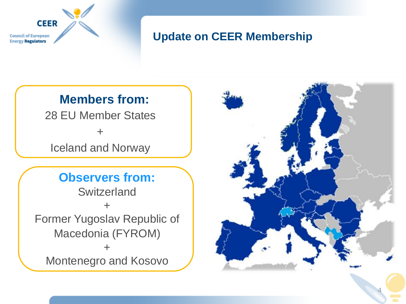

#### **Update on CEER Membership**

#### **Members from:**

28 EU Member States

+

Iceland and Norway

#### **Observers from:**

**Switzerland** + Former Yugoslav Republic of Macedonia (FYROM) + Montenegro and Kosovo

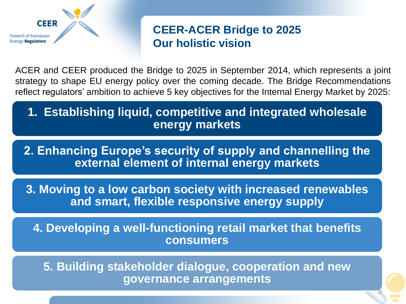

#### **CEER-ACER Bridge to 2025 Our holistic vision**

ACER and CEER produced the Bridge to 2025 in September 2014, which represents a joint strategy to shape EU energy policy over the coming decade. The Bridge Recommendations reflect regulators' ambition to achieve 5 key objectives for the Internal Energy Market by 2025:

**1. Establishing liquid, competitive and integrated wholesale energy markets**

**2. Enhancing Europe's security of supply and channelling the external element of internal energy markets**

**3. Moving to a low carbon society with increased renewables and smart, flexible responsive energy supply** 

**4. Developing a well-functioning retail market that benefits consumers**

**5. Building stakeholder dialogue, cooperation and new governance arrangements**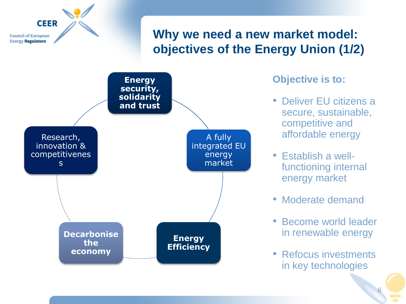

**Energy Efficiency**

**Decarbonise the economy**

- energy market
- Moderate demand
- Become world leader in renewable energy
- Refocus investments in key technologies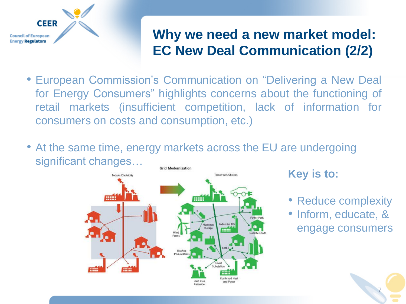

## **Why we need a new market model: EC New Deal Communication (2/2)**

- European Commission's Communication on "Delivering a New Deal for Energy Consumers" highlights concerns about the functioning of retail markets (insufficient competition, lack of information for consumers on costs and consumption, etc.)
- At the same time, energy markets across the EU are undergoing significant changes…



#### **Key is to:**

- Reduce complexity
- Inform, educate, & engage consumers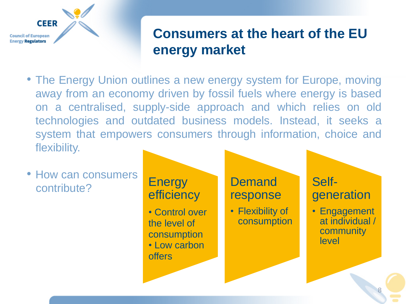

## **Consumers at the heart of the EU energy market**

• The Energy Union outlines a new energy system for Europe, moving away from an economy driven by fossil fuels where energy is based on a centralised, supply-side approach and which relies on old technologies and outdated business models. Instead, it seeks a system that empowers consumers through information, choice and flexibility.

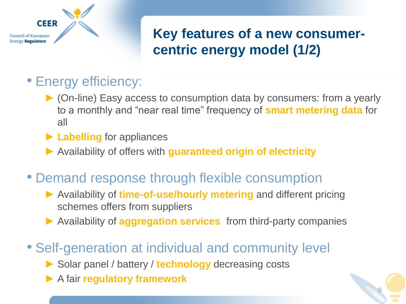

## **Key features of a new consumercentric energy model (1/2)**

- Energy efficiency:
	- ► (On-line) Easy access to consumption data by consumers: from a yearly to a monthly and "near real time" frequency of **smart metering data** for all
	- ► **Labelling** for appliances
	- ► Availability of offers with **guaranteed origin of electricity**
- Demand response through flexible consumption
	- ► Availability of **time-of-use/hourly metering** and different pricing schemes offers from suppliers
	- ► Availability of **aggregation services** from third-party companies
- Self-generation at individual and community level
	- ► Solar panel / battery / **technology** decreasing costs
	- ► A fair **regulatory framework**

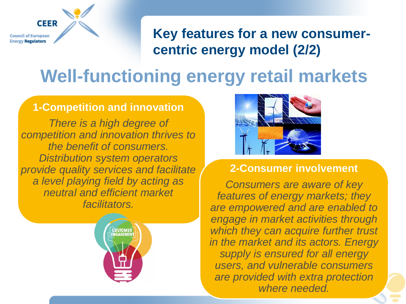**Council of European Energy Regulators** 

**CEER** 

**Key features for a new consumercentric energy model (2/2)**

## **Well-functioning energy retail markets**

#### **1-Competition and innovation**

*There is a high degree of competition and innovation thrives to the benefit of consumers. Distribution system operators provide quality services and facilitate a level playing field by acting as neutral and efficient market facilitators.*





#### **2-Consumer involvement**

10 *Consumers are aware of key features of energy markets; they are empowered and are enabled to engage in market activities through which they can acquire further trust in the market and its actors. Energy supply is ensured for all energy users, and vulnerable consumers are provided with extra protection where needed.*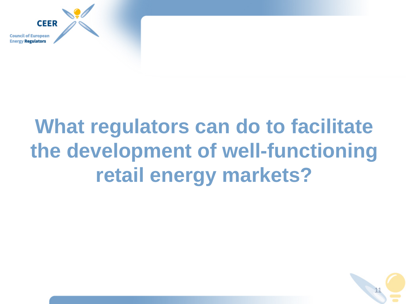

## **What regulators can do to facilitate the development of well-functioning retail energy markets?**

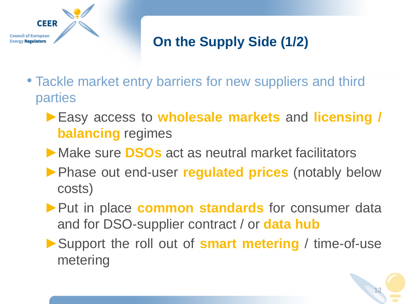

## **On the Supply Side (1/2)**

- Tackle market entry barriers for new suppliers and third parties
	- ►Easy access to **wholesale markets** and **licensing / balancing** regimes
	- ►Make sure **DSOs** act as neutral market facilitators
	- ►Phase out end-user **regulated prices** (notably below costs)
	- ▶ Put in place **common standards** for consumer data and for DSO-supplier contract / or **data hub**
	- ►Support the roll out of **smart metering** / time-of-use metering

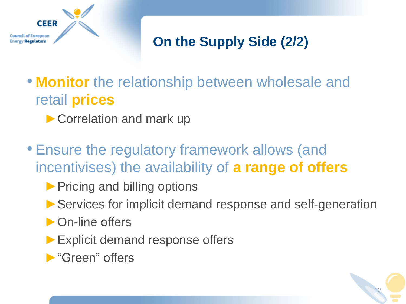

## **On the Supply Side (2/2)**

- **Monitor** the relationship between wholesale and retail **prices**
	- ▶ Correlation and mark up
- Ensure the regulatory framework allows (and incentivises) the availability of **a range of offers**
	- ▶ Pricing and billing options
	- ▶ Services for implicit demand response and self-generation
	- ▶ On-line offers
	- ► Explicit demand response offers
	- ►"Green" offers

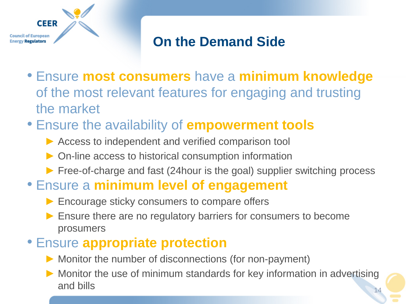

## **On the Demand Side**

- Ensure **most consumers** have a **minimum knowledge**  of the most relevant features for engaging and trusting the market
- Ensure the availability of **empowerment tools**
	- ▶ Access to independent and verified comparison tool
	- ► On-line access to historical consumption information
	- ► Free-of-charge and fast (24hour is the goal) supplier switching process
- Ensure a **minimum level of engagement**
	- ▶ Encourage sticky consumers to compare offers
	- ► Ensure there are no regulatory barriers for consumers to become prosumers

#### • Ensure **appropriate protection**

- ► Monitor the number of disconnections (for non-payment)
- ► Monitor the use of minimum standards for key information in advertising and bills and bills and bills are seen to be a set of  $\frac{14}{14}$